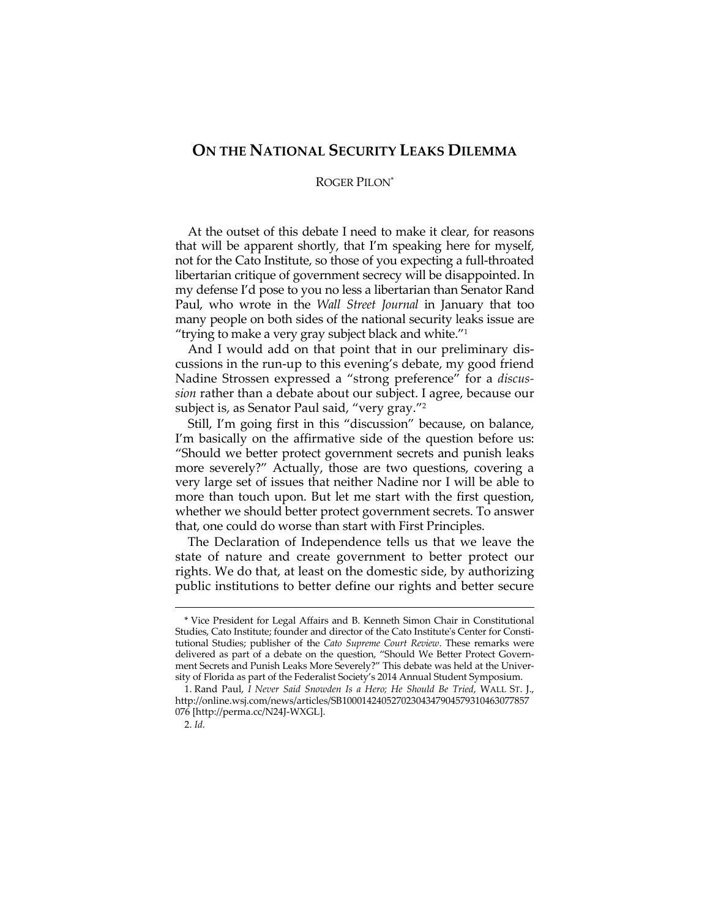## **ON THE NATIONAL SECURITY LEAKS DILEMMA**

## ROGER PILON\*

At the outset of this debate I need to make it clear, for reasons that will be apparent shortly, that I'm speaking here for myself, not for the Cato Institute, so those of you expecting a full-throated libertarian critique of government secrecy will be disappointed. In my defense I'd pose to you no less a libertarian than Senator Rand Paul, who wrote in the *Wall Street Journal* in January that too many people on both sides of the national security leaks issue are "trying to make a very gray subject black and white."1

And I would add on that point that in our preliminary discussions in the run-up to this evening's debate, my good friend Nadine Strossen expressed a "strong preference" for a *discussion* rather than a debate about our subject. I agree, because our subject is, as Senator Paul said, "very gray."2

Still, I'm going first in this "discussion" because, on balance, I'm basically on the affirmative side of the question before us: "Should we better protect government secrets and punish leaks more severely?" Actually, those are two questions, covering a very large set of issues that neither Nadine nor I will be able to more than touch upon. But let me start with the first question, whether we should better protect government secrets. To answer that, one could do worse than start with First Principles.

The Declaration of Independence tells us that we leave the state of nature and create government to better protect our rights. We do that, at least on the domestic side, by authorizing public institutions to better define our rights and better secure

<sup>\*</sup> Vice President for Legal Affairs and B. Kenneth Simon Chair in Constitutional Studies, Cato Institute; founder and director of the Cato Institute's Center for Constitutional Studies; publisher of the *Cato Supreme Court Review*. These remarks were delivered as part of a debate on the question, "Should We Better Protect Government Secrets and Punish Leaks More Severely?" This debate was held at the University of Florida as part of the Federalist Society's 2014 Annual Student Symposium.

 <sup>1.</sup> Rand Paul, *I Never Said Snowden Is a Hero; He Should Be Tried*, WALL ST. J., http://online.wsj.com/news/articles/SB10001424052702304347904579310463077857 076 [http://perma.cc/N24J-WXGL].

 <sup>2.</sup> *Id.*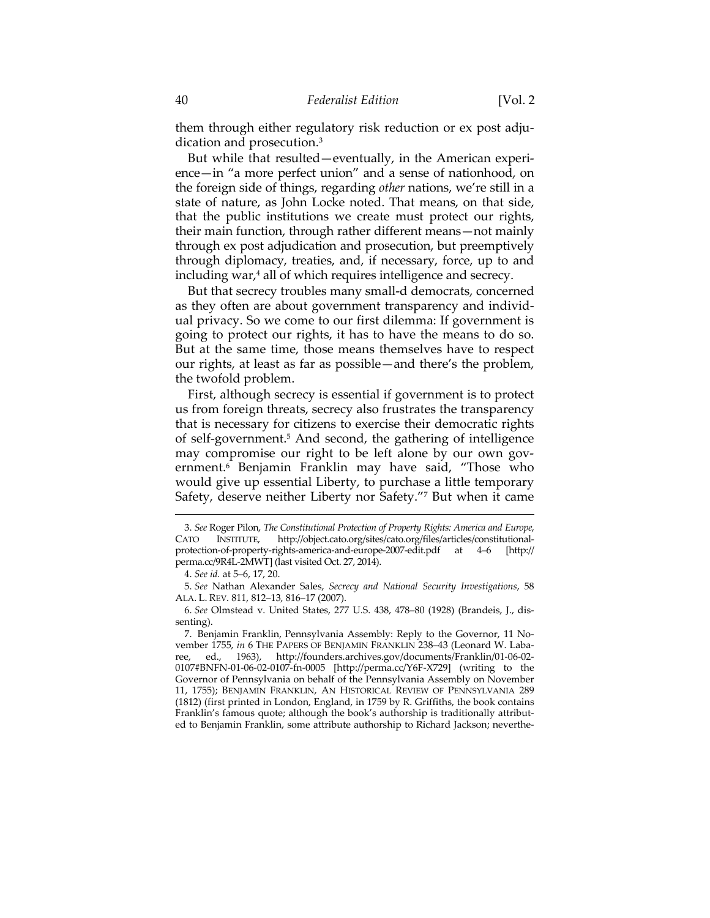them through either regulatory risk reduction or ex post adjudication and prosecution.3

But while that resulted—eventually, in the American experience—in "a more perfect union" and a sense of nationhood, on the foreign side of things, regarding *other* nations, we're still in a state of nature, as John Locke noted. That means, on that side, that the public institutions we create must protect our rights, their main function, through rather different means—not mainly through ex post adjudication and prosecution, but preemptively through diplomacy, treaties, and, if necessary, force, up to and including war,<sup>4</sup> all of which requires intelligence and secrecy.

But that secrecy troubles many small-d democrats, concerned as they often are about government transparency and individual privacy. So we come to our first dilemma: If government is going to protect our rights, it has to have the means to do so. But at the same time, those means themselves have to respect our rights, at least as far as possible—and there's the problem, the twofold problem.

First, although secrecy is essential if government is to protect us from foreign threats, secrecy also frustrates the transparency that is necessary for citizens to exercise their democratic rights of self-government.<sup>5</sup> And second, the gathering of intelligence may compromise our right to be left alone by our own government.6 Benjamin Franklin may have said, "Those who would give up essential Liberty, to purchase a little temporary Safety, deserve neither Liberty nor Safety."7 But when it came

<sup>3.</sup> *See* Roger Pilon, *The Constitutional Protection of Property Rights: America and Europe*, CATO INSTITUTE, http://object.cato.org/sites/cato.org/files/articles/constitutionalprotection-of-property-rights-america-and-europe-2007-edit.pdf at 4–6 [http:// perma.cc/9R4L-2MWT] (last visited Oct. 27, 2014).

 <sup>4.</sup> *See id.* at 5–6, 17, 20.

 <sup>5.</sup> *See* Nathan Alexander Sales, *Secrecy and National Security Investigations*, 58 ALA. L. REV. 811, 812–13, 816–17 (2007).

 <sup>6.</sup> *See* Olmstead v. United States, 277 U.S. 438, 478–80 (1928) (Brandeis, J., dissenting).

 <sup>7.</sup> Benjamin Franklin, Pennsylvania Assembly: Reply to the Governor, 11 November 1755, *in* 6 THE PAPERS OF BENJAMIN FRANKLIN 238–43 (Leonard W. Labaree, ed., 1963), http://founders.archives.gov/documents/Franklin/01-06-02- 0107#BNFN-01-06-02-0107-fn-0005 [http://perma.cc/Y6F-X729] (writing to the Governor of Pennsylvania on behalf of the Pennsylvania Assembly on November 11, 1755); BENJAMIN FRANKLIN, AN HISTORICAL REVIEW OF PENNSYLVANIA 289 (1812) (first printed in London, England, in 1759 by R. Griffiths, the book contains Franklin's famous quote; although the book's authorship is traditionally attributed to Benjamin Franklin, some attribute authorship to Richard Jackson; neverthe-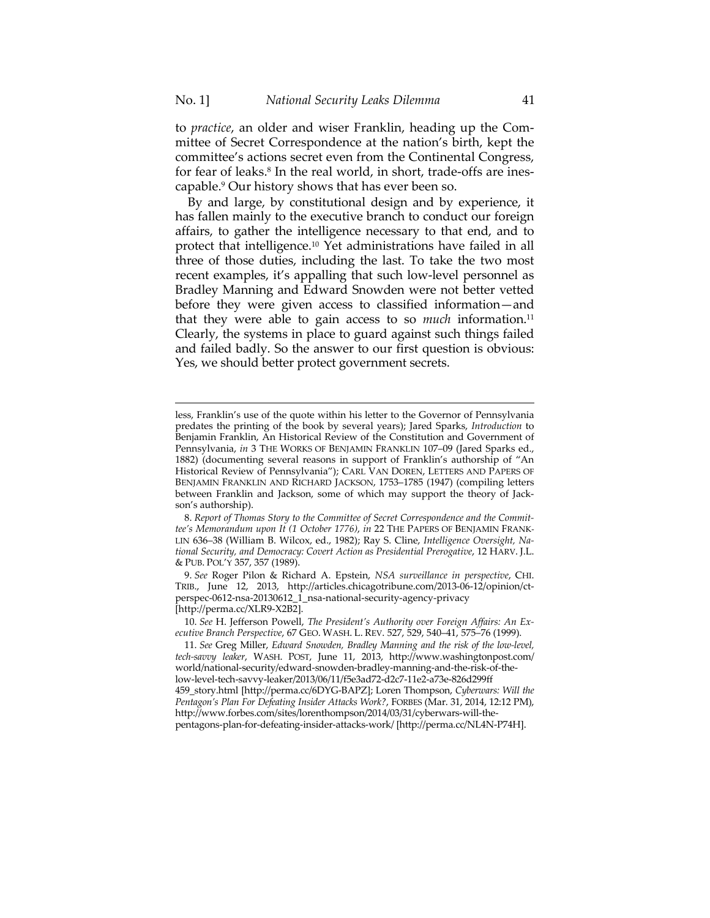$\overline{a}$ 

to *practice*, an older and wiser Franklin, heading up the Committee of Secret Correspondence at the nation's birth, kept the committee's actions secret even from the Continental Congress, for fear of leaks.<sup>8</sup> In the real world, in short, trade-offs are inescapable.9 Our history shows that has ever been so.

By and large, by constitutional design and by experience, it has fallen mainly to the executive branch to conduct our foreign affairs, to gather the intelligence necessary to that end, and to protect that intelligence.10 Yet administrations have failed in all three of those duties, including the last. To take the two most recent examples, it's appalling that such low-level personnel as Bradley Manning and Edward Snowden were not better vetted before they were given access to classified information—and that they were able to gain access to so *much* information.<sup>11</sup> Clearly, the systems in place to guard against such things failed and failed badly. So the answer to our first question is obvious: Yes, we should better protect government secrets.

 8. *Report of Thomas Story to the Committee of Secret Correspondence and the Committee's Memorandum upon It (1 October 1776)*, *in* 22 THE PAPERS OF BENJAMIN FRANK-LIN 636–38 (William B. Wilcox, ed., 1982); Ray S. Cline, *Intelligence Oversight, National Security, and Democracy: Covert Action as Presidential Prerogative*, 12 HARV. J.L. & PUB. POL'Y 357, 357 (1989).

 9. *See* Roger Pilon & Richard A. Epstein, *NSA surveillance in perspective*, CHI. TRIB., June 12, 2013, http://articles.chicagotribune.com/2013-06-12/opinion/ctperspec-0612-nsa-20130612\_1\_nsa-national-security-agency-privacy [http://perma.cc/XLR9-X2B2].

 10. *See* H. Jefferson Powell, *The President's Authority over Foreign Affairs: An Executive Branch Perspective*, 67 GEO. WASH. L. REV. 527, 529, 540–41, 575–76 (1999).

less, Franklin's use of the quote within his letter to the Governor of Pennsylvania predates the printing of the book by several years); Jared Sparks, *Introduction* to Benjamin Franklin, An Historical Review of the Constitution and Government of Pennsylvania, *in* 3 THE WORKS OF BENJAMIN FRANKLIN 107–09 (Jared Sparks ed., 1882) (documenting several reasons in support of Franklin's authorship of "An Historical Review of Pennsylvania"); CARL VAN DOREN, LETTERS AND PAPERS OF BENJAMIN FRANKLIN AND RICHARD JACKSON, 1753–1785 (1947) (compiling letters between Franklin and Jackson, some of which may support the theory of Jackson's authorship).

 <sup>11.</sup> *See* Greg Miller, *Edward Snowden, Bradley Manning and the risk of the low-level, tech-savvy leaker*, WASH. POST, June 11, 2013, http://www.washingtonpost.com/ world/national-security/edward-snowden-bradley-manning-and-the-risk-of-thelow-level-tech-savvy-leaker/2013/06/11/f5e3ad72-d2c7-11e2-a73e-826d299ff 459\_story.html [http://perma.cc/6DYG-BAPZ]; Loren Thompson, *Cyberwars: Will the Pentagon's Plan For Defeating Insider Attacks Work?*, FORBES (Mar. 31, 2014, 12:12 PM), http://www.forbes.com/sites/lorenthompson/2014/03/31/cyberwars-will-thepentagons-plan-for-defeating-insider-attacks-work/ [http://perma.cc/NL4N-P74H].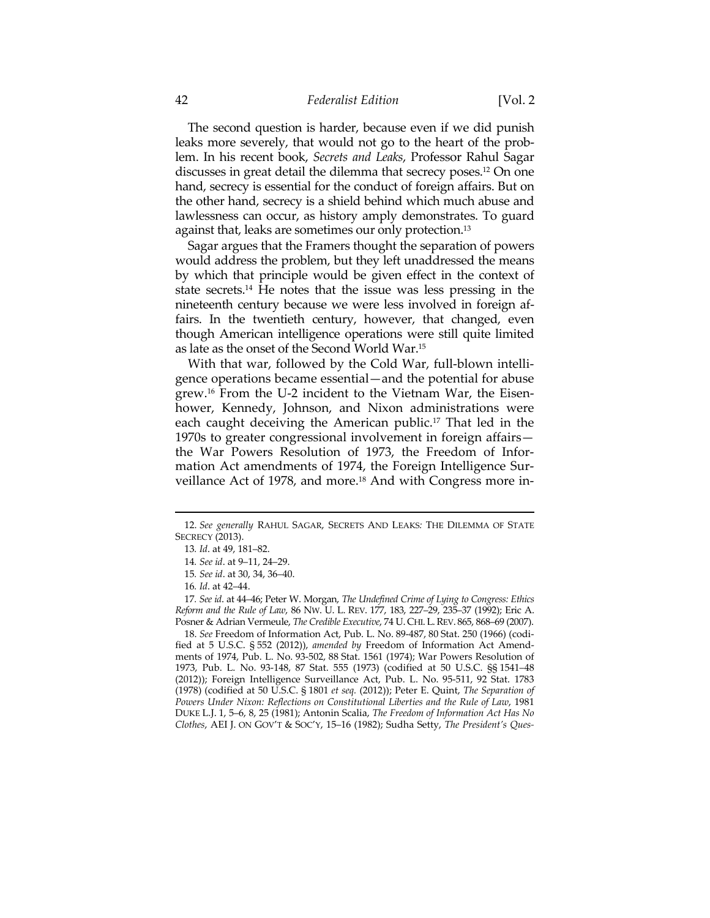## 42 *Federalist Edition* [Vol. 2

The second question is harder, because even if we did punish leaks more severely, that would not go to the heart of the problem. In his recent book, *Secrets and Leaks*, Professor Rahul Sagar discusses in great detail the dilemma that secrecy poses.12 On one hand, secrecy is essential for the conduct of foreign affairs. But on the other hand, secrecy is a shield behind which much abuse and lawlessness can occur, as history amply demonstrates. To guard against that, leaks are sometimes our only protection.<sup>13</sup>

Sagar argues that the Framers thought the separation of powers would address the problem, but they left unaddressed the means by which that principle would be given effect in the context of state secrets.14 He notes that the issue was less pressing in the nineteenth century because we were less involved in foreign affairs. In the twentieth century, however, that changed, even though American intelligence operations were still quite limited as late as the onset of the Second World War.15

With that war, followed by the Cold War, full-blown intelligence operations became essential—and the potential for abuse grew.16 From the U-2 incident to the Vietnam War, the Eisenhower, Kennedy, Johnson, and Nixon administrations were each caught deceiving the American public.<sup>17</sup> That led in the 1970s to greater congressional involvement in foreign affairs the War Powers Resolution of 1973, the Freedom of Information Act amendments of 1974, the Foreign Intelligence Surveillance Act of 1978, and more.18 And with Congress more in-

 $\overline{a}$ 

17*. See id*. at 44–46; Peter W. Morgan, *The Undefined Crime of Lying to Congress: Ethics Reform and the Rule of Law*, 86 NW. U. L. REV. 177, 183, 227–29, 235–37 (1992); Eric A. Posner & Adrian Vermeule, *The Credible Executive*, 74 U. CHI. L.REV. 865, 868–69 (2007).

 18. *See* Freedom of Information Act, Pub. L. No. 89-487, 80 Stat. 250 (1966) (codified at 5 U.S.C. § 552 (2012)), *amended by* Freedom of Information Act Amendments of 1974, Pub. L. No. 93-502, 88 Stat. 1561 (1974); War Powers Resolution of 1973, Pub. L. No. 93-148, 87 Stat. 555 (1973) (codified at 50 U.S.C. §§ 1541–48 (2012)); Foreign Intelligence Surveillance Act, Pub. L. No. 95-511, 92 Stat. 1783 (1978) (codified at 50 U.S.C. § 1801 *et seq.* (2012)); Peter E. Quint, *The Separation of Powers Under Nixon: Reflections on Constitutional Liberties and the Rule of Law*, 1981 DUKE L.J. 1, 5–6, 8, 25 (1981); Antonin Scalia, *The Freedom of Information Act Has No Clothes*, AEI J. ON GOV'T & SOC'Y, 15–16 (1982); Sudha Setty, *The President's Ques-*

<sup>12.</sup> *See generally* RAHUL SAGAR, SECRETS AND LEAKS*:* THE DILEMMA OF STATE SECRECY (2013).

<sup>13</sup>*. Id*. at 49, 181–82.

<sup>14</sup>*. See id*. at 9–11, 24–29.

<sup>15</sup>*. See id*. at 30, 34, 36–40.

<sup>16</sup>*. Id*. at 42–44.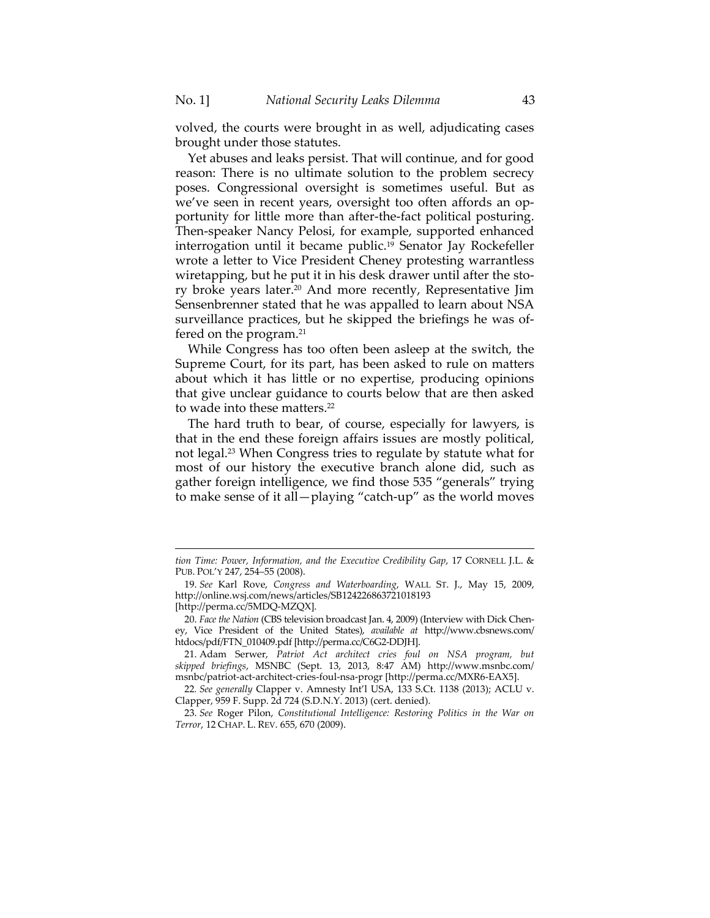volved, the courts were brought in as well, adjudicating cases brought under those statutes.

Yet abuses and leaks persist. That will continue, and for good reason: There is no ultimate solution to the problem secrecy poses. Congressional oversight is sometimes useful. But as we've seen in recent years, oversight too often affords an opportunity for little more than after-the-fact political posturing. Then-speaker Nancy Pelosi, for example, supported enhanced interrogation until it became public.19 Senator Jay Rockefeller wrote a letter to Vice President Cheney protesting warrantless wiretapping, but he put it in his desk drawer until after the story broke years later.20 And more recently, Representative Jim Sensenbrenner stated that he was appalled to learn about NSA surveillance practices, but he skipped the briefings he was offered on the program.21

While Congress has too often been asleep at the switch, the Supreme Court, for its part, has been asked to rule on matters about which it has little or no expertise, producing opinions that give unclear guidance to courts below that are then asked to wade into these matters.<sup>22</sup>

The hard truth to bear, of course, especially for lawyers, is that in the end these foreign affairs issues are mostly political, not legal.23 When Congress tries to regulate by statute what for most of our history the executive branch alone did, such as gather foreign intelligence, we find those 535 "generals" trying to make sense of it all—playing "catch-up" as the world moves

*tion Time: Power, Information, and the Executive Credibility Gap*, 17 CORNELL J.L. & PUB. POL'Y 247, 254–55 (2008).

 <sup>19.</sup> *See* Karl Rove, *Congress and Waterboarding*, WALL ST. J., May 15, 2009, http://online.wsj.com/news/articles/SB124226863721018193

<sup>[</sup>http://perma.cc/5MDQ-MZQX].

 <sup>20.</sup> *Face the Nation* (CBS television broadcast Jan. 4, 2009) (Interview with Dick Cheney, Vice President of the United States), *available at* http://www.cbsnews.com/ htdocs/pdf/FTN\_010409.pdf [http://perma.cc/C6G2-DDJH].

 <sup>21.</sup> Adam Serwer, *Patriot Act architect cries foul on NSA program, but skipped briefings*, MSNBC (Sept. 13, 2013, 8:47 AM) http://www.msnbc.com/ msnbc/patriot-act-architect-cries-foul-nsa-progr [http://perma.cc/MXR6-EAX5].

<sup>22</sup>*. See generally* Clapper v. Amnesty Int'l USA, 133 S.Ct. 1138 (2013); ACLU v. Clapper, 959 F. Supp. 2d 724 (S.D.N.Y. 2013) (cert. denied).

 <sup>23.</sup> *See* Roger Pilon, *Constitutional Intelligence: Restoring Politics in the War on Terror*, 12 CHAP. L. REV. 655, 670 (2009).